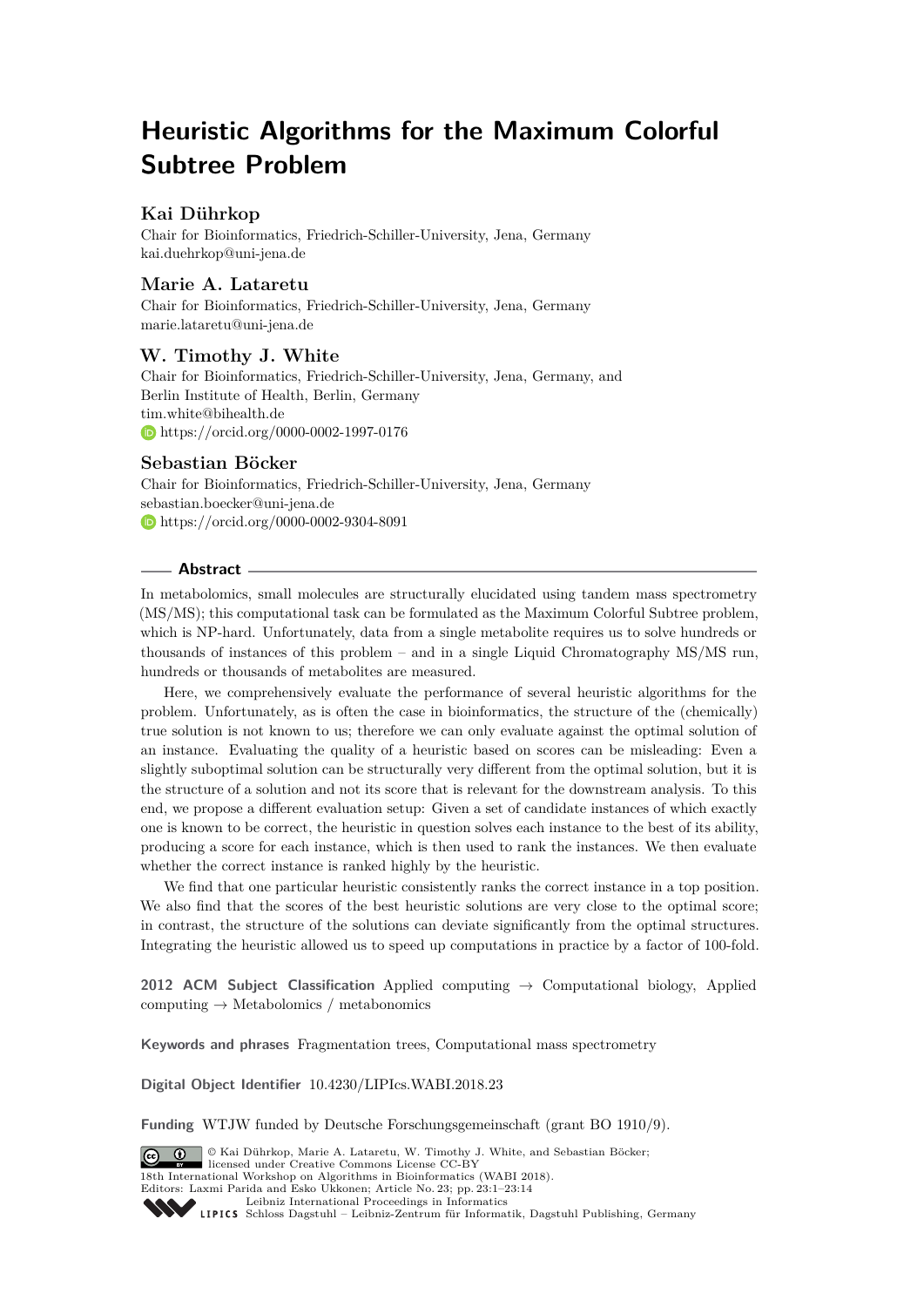# **Heuristic Algorithms for the Maximum Colorful Subtree Problem**

# **Kai Dührkop**

Chair for Bioinformatics, Friedrich-Schiller-University, Jena, Germany [kai.duehrkop@uni-jena.de](mailto:kai.duehrkop@uni-jena.de)

# **Marie A. Lataretu**

Chair for Bioinformatics, Friedrich-Schiller-University, Jena, Germany [marie.lataretu@uni-jena.de](mailto:marie.lataretu@uni-jena.de)

# **W. Timothy J. White**

Chair for Bioinformatics, Friedrich-Schiller-University, Jena, Germany, and Berlin Institute of Health, Berlin, Germany [tim.white@bihealth.de](mailto:tim.white@bihealth.de) <https://orcid.org/0000-0002-1997-0176>

# **Sebastian Böcker**

Chair for Bioinformatics, Friedrich-Schiller-University, Jena, Germany [sebastian.boecker@uni-jena.de](mailto:sebastian.boecker@uni-jena.de) <https://orcid.org/0000-0002-9304-8091>

## **Abstract**

In metabolomics, small molecules are structurally elucidated using tandem mass spectrometry (MS/MS); this computational task can be formulated as the Maximum Colorful Subtree problem, which is NP-hard. Unfortunately, data from a single metabolite requires us to solve hundreds or thousands of instances of this problem – and in a single Liquid Chromatography MS/MS run, hundreds or thousands of metabolites are measured.

Here, we comprehensively evaluate the performance of several heuristic algorithms for the problem. Unfortunately, as is often the case in bioinformatics, the structure of the (chemically) true solution is not known to us; therefore we can only evaluate against the optimal solution of an instance. Evaluating the quality of a heuristic based on scores can be misleading: Even a slightly suboptimal solution can be structurally very different from the optimal solution, but it is the structure of a solution and not its score that is relevant for the downstream analysis. To this end, we propose a different evaluation setup: Given a set of candidate instances of which exactly one is known to be correct, the heuristic in question solves each instance to the best of its ability, producing a score for each instance, which is then used to rank the instances. We then evaluate whether the correct instance is ranked highly by the heuristic.

We find that one particular heuristic consistently ranks the correct instance in a top position. We also find that the scores of the best heuristic solutions are very close to the optimal score; in contrast, the structure of the solutions can deviate significantly from the optimal structures. Integrating the heuristic allowed us to speed up computations in practice by a factor of 100-fold.

**2012 ACM Subject Classification** Applied computing → Computational biology, Applied computing  $\rightarrow$  Metabolomics / metabonomics

**Keywords and phrases** Fragmentation trees, Computational mass spectrometry

**Digital Object Identifier** [10.4230/LIPIcs.WABI.2018.23](http://dx.doi.org/10.4230/LIPIcs.WABI.2018.23)

**Funding** WTJW funded by Deutsche Forschungsgemeinschaft (grant BO 1910/9).

© Kai Dührkop, Marie A. Lataretu, W. Timothy J. White, and Sebastian Böcker;  $\boxed{6}$  0 licensed under Creative Commons License CC-BY 18th International Workshop on Algorithms in Bioinformatics (WABI 2018). Editors: Laxmi Parida and Esko Ukkonen; Article No. 23; pp. 23:1–23[:14](#page-13-0) [Leibniz International Proceedings in Informatics](http://www.dagstuhl.de/lipics/) Leibniz international Froceedings in missimosischer Magstuhl Publishing, Germany<br>LIPICS [Schloss Dagstuhl – Leibniz-Zentrum für Informatik, Dagstuhl Publishing, Germany](http://www.dagstuhl.de)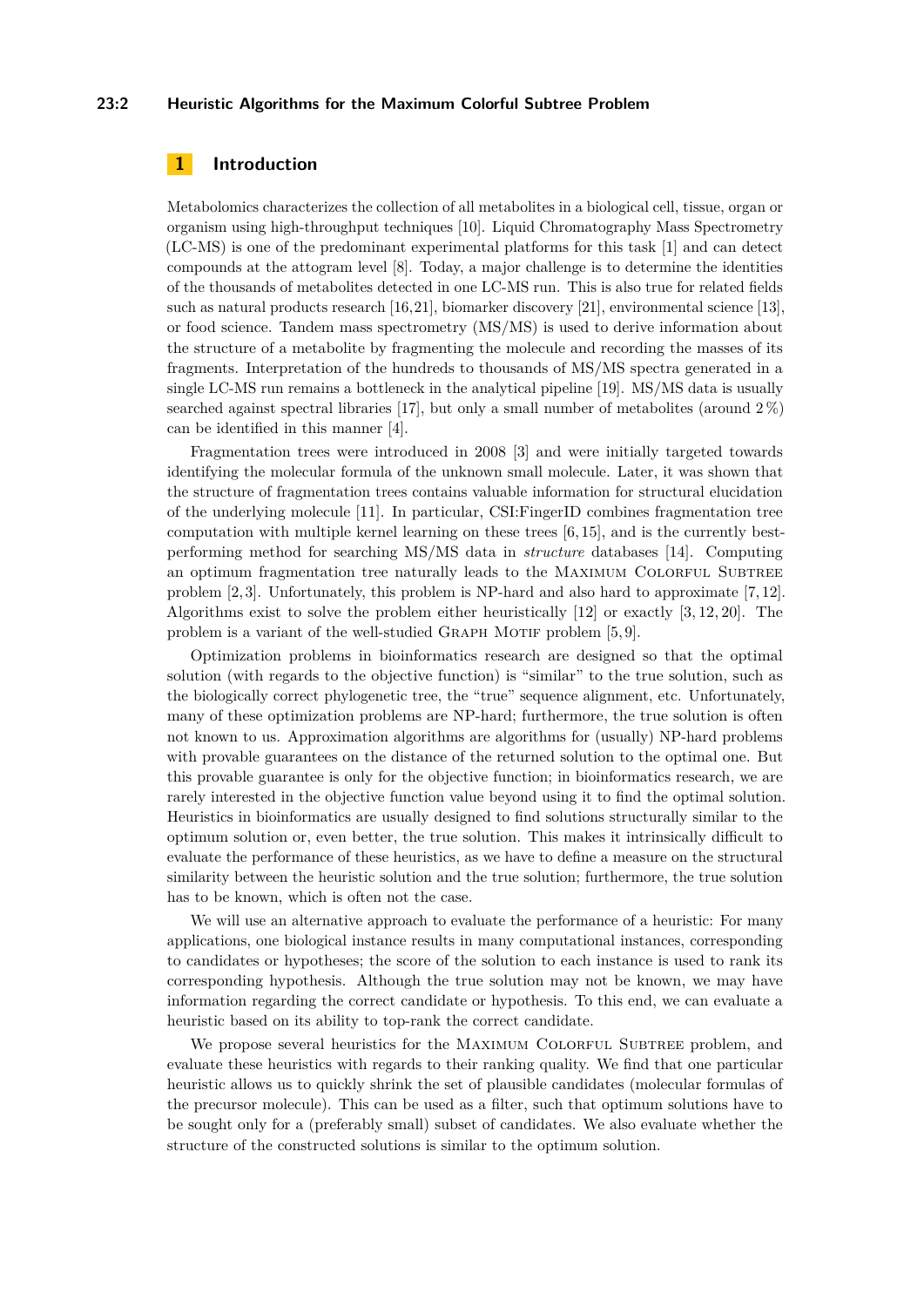#### **23:2 Heuristic Algorithms for the Maximum Colorful Subtree Problem**

# **1 Introduction**

Metabolomics characterizes the collection of all metabolites in a biological cell, tissue, organ or organism using high-throughput techniques [\[10\]](#page-12-0). Liquid Chromatography Mass Spectrometry (LC-MS) is one of the predominant experimental platforms for this task [\[1\]](#page-11-0) and can detect compounds at the attogram level [\[8\]](#page-11-1). Today, a major challenge is to determine the identities of the thousands of metabolites detected in one LC-MS run. This is also true for related fields such as natural products research [\[16,](#page-12-1)[21\]](#page-13-1), biomarker discovery [\[21\]](#page-13-1), environmental science [\[13\]](#page-12-2), or food science. Tandem mass spectrometry (MS/MS) is used to derive information about the structure of a metabolite by fragmenting the molecule and recording the masses of its fragments. Interpretation of the hundreds to thousands of MS/MS spectra generated in a single LC-MS run remains a bottleneck in the analytical pipeline [\[19\]](#page-12-3). MS/MS data is usually searched against spectral libraries [\[17\]](#page-12-4), but only a small number of metabolites (around  $2\%$ ) can be identified in this manner [\[4\]](#page-11-2).

Fragmentation trees were introduced in 2008 [\[3\]](#page-11-3) and were initially targeted towards identifying the molecular formula of the unknown small molecule. Later, it was shown that the structure of fragmentation trees contains valuable information for structural elucidation of the underlying molecule [\[11\]](#page-12-5). In particular, CSI:FingerID combines fragmentation tree computation with multiple kernel learning on these trees [\[6,](#page-11-4) [15\]](#page-12-6), and is the currently bestperforming method for searching MS/MS data in *structure* databases [\[14\]](#page-12-7). Computing an optimum fragmentation tree naturally leads to the MAXIMUM COLORFUL SUBTREE problem [\[2,](#page-11-5) [3\]](#page-11-3). Unfortunately, this problem is NP-hard and also hard to approximate [\[7,](#page-11-6) [12\]](#page-12-8). Algorithms exist to solve the problem either heuristically [\[12\]](#page-12-8) or exactly [\[3,](#page-11-3) [12,](#page-12-8) [20\]](#page-13-2). The problem is a variant of the well-studied GRAPH MOTIF problem  $[5, 9]$  $[5, 9]$ .

Optimization problems in bioinformatics research are designed so that the optimal solution (with regards to the objective function) is "similar" to the true solution, such as the biologically correct phylogenetic tree, the "true" sequence alignment, etc. Unfortunately, many of these optimization problems are NP-hard; furthermore, the true solution is often not known to us. Approximation algorithms are algorithms for (usually) NP-hard problems with provable guarantees on the distance of the returned solution to the optimal one. But this provable guarantee is only for the objective function; in bioinformatics research, we are rarely interested in the objective function value beyond using it to find the optimal solution. Heuristics in bioinformatics are usually designed to find solutions structurally similar to the optimum solution or, even better, the true solution. This makes it intrinsically difficult to evaluate the performance of these heuristics, as we have to define a measure on the structural similarity between the heuristic solution and the true solution; furthermore, the true solution has to be known, which is often not the case.

We will use an alternative approach to evaluate the performance of a heuristic: For many applications, one biological instance results in many computational instances, corresponding to candidates or hypotheses; the score of the solution to each instance is used to rank its corresponding hypothesis. Although the true solution may not be known, we may have information regarding the correct candidate or hypothesis. To this end, we can evaluate a heuristic based on its ability to top-rank the correct candidate.

We propose several heuristics for the MAXIMUM COLORFUL SUBTREE problem, and evaluate these heuristics with regards to their ranking quality. We find that one particular heuristic allows us to quickly shrink the set of plausible candidates (molecular formulas of the precursor molecule). This can be used as a filter, such that optimum solutions have to be sought only for a (preferably small) subset of candidates. We also evaluate whether the structure of the constructed solutions is similar to the optimum solution.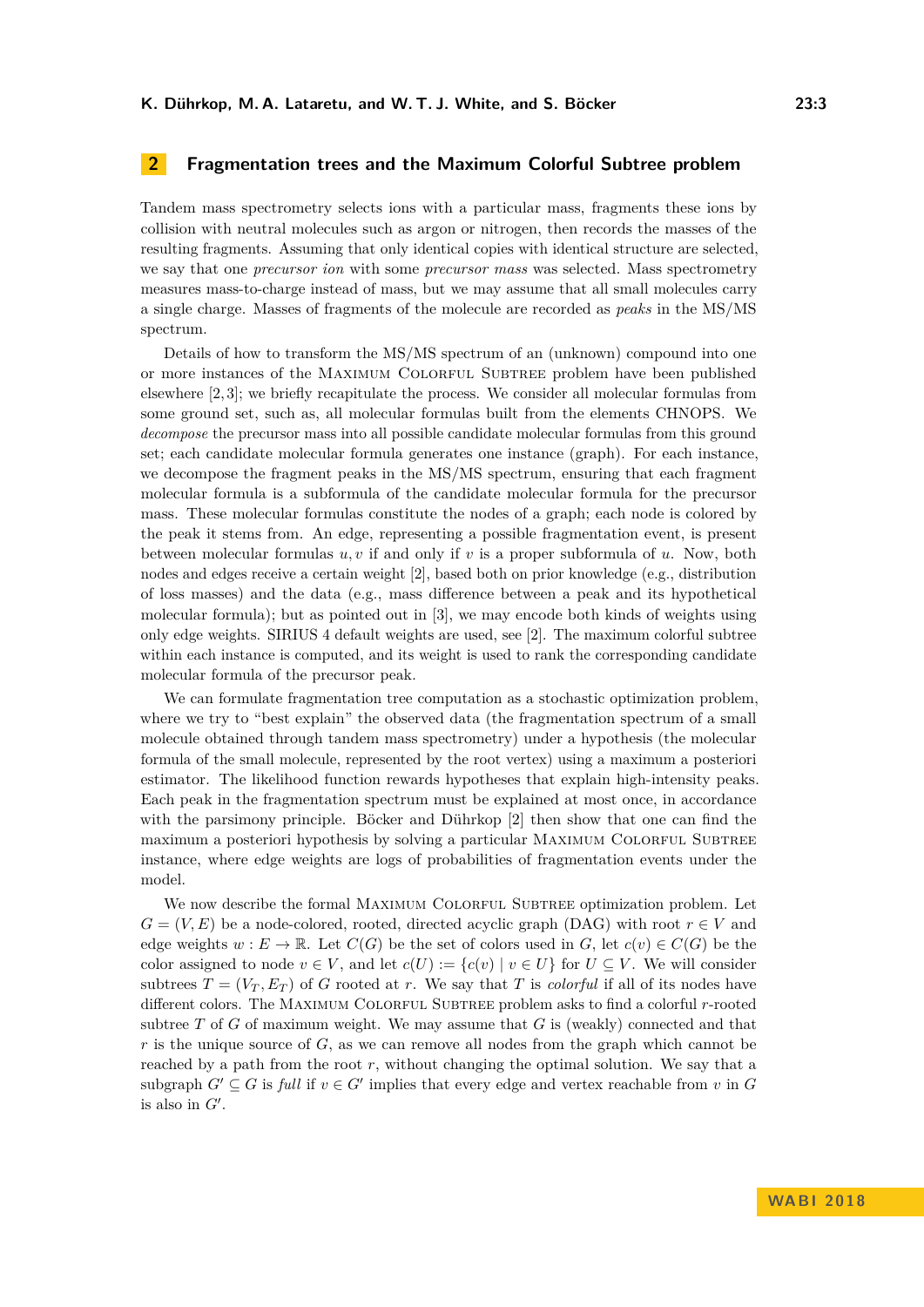# **2 Fragmentation trees and the Maximum Colorful Subtree problem**

Tandem mass spectrometry selects ions with a particular mass, fragments these ions by collision with neutral molecules such as argon or nitrogen, then records the masses of the resulting fragments. Assuming that only identical copies with identical structure are selected, we say that one *precursor ion* with some *precursor mass* was selected. Mass spectrometry measures mass-to-charge instead of mass, but we may assume that all small molecules carry a single charge. Masses of fragments of the molecule are recorded as *peaks* in the MS/MS spectrum.

Details of how to transform the MS/MS spectrum of an (unknown) compound into one or more instances of the Maximum Colorful Subtree problem have been published elsewhere [\[2,](#page-11-5) [3\]](#page-11-3); we briefly recapitulate the process. We consider all molecular formulas from some ground set, such as, all molecular formulas built from the elements CHNOPS. We *decompose* the precursor mass into all possible candidate molecular formulas from this ground set; each candidate molecular formula generates one instance (graph). For each instance, we decompose the fragment peaks in the MS/MS spectrum, ensuring that each fragment molecular formula is a subformula of the candidate molecular formula for the precursor mass. These molecular formulas constitute the nodes of a graph; each node is colored by the peak it stems from. An edge, representing a possible fragmentation event, is present between molecular formulas *u, v* if and only if *v* is a proper subformula of *u*. Now, both nodes and edges receive a certain weight [\[2\]](#page-11-5), based both on prior knowledge (e.g., distribution of loss masses) and the data (e.g., mass difference between a peak and its hypothetical molecular formula); but as pointed out in [\[3\]](#page-11-3), we may encode both kinds of weights using only edge weights. SIRIUS 4 default weights are used, see [\[2\]](#page-11-5). The maximum colorful subtree within each instance is computed, and its weight is used to rank the corresponding candidate molecular formula of the precursor peak.

We can formulate fragmentation tree computation as a stochastic optimization problem, where we try to "best explain" the observed data (the fragmentation spectrum of a small molecule obtained through tandem mass spectrometry) under a hypothesis (the molecular formula of the small molecule, represented by the root vertex) using a maximum a posteriori estimator. The likelihood function rewards hypotheses that explain high-intensity peaks. Each peak in the fragmentation spectrum must be explained at most once, in accordance with the parsimony principle. Böcker and Dührkop [\[2\]](#page-11-5) then show that one can find the maximum a posteriori hypothesis by solving a particular MAXIMUM COLORFUL SUBTREE instance, where edge weights are logs of probabilities of fragmentation events under the model.

We now describe the formal MAXIMUM COLORFUL SUBTREE optimization problem. Let  $G = (V, E)$  be a node-colored, rooted, directed acyclic graph (DAG) with root  $r \in V$  and edge weights  $w : E \to \mathbb{R}$ . Let  $C(G)$  be the set of colors used in *G*, let  $c(v) \in C(G)$  be the color assigned to node  $v \in V$ , and let  $c(U) := \{c(v) | v \in U\}$  for  $U \subseteq V$ . We will consider subtrees  $T = (V_T, E_T)$  of *G* rooted at *r*. We say that *T* is *colorful* if all of its nodes have different colors. The Maximum Colorful Subtree problem asks to find a colorful *r*-rooted subtree *T* of *G* of maximum weight. We may assume that *G* is (weakly) connected and that *r* is the unique source of *G*, as we can remove all nodes from the graph which cannot be reached by a path from the root *r*, without changing the optimal solution. We say that a subgraph  $G' \subseteq G$  is *full* if  $v \in G'$  implies that every edge and vertex reachable from *v* in  $G$ is also in  $G'$ .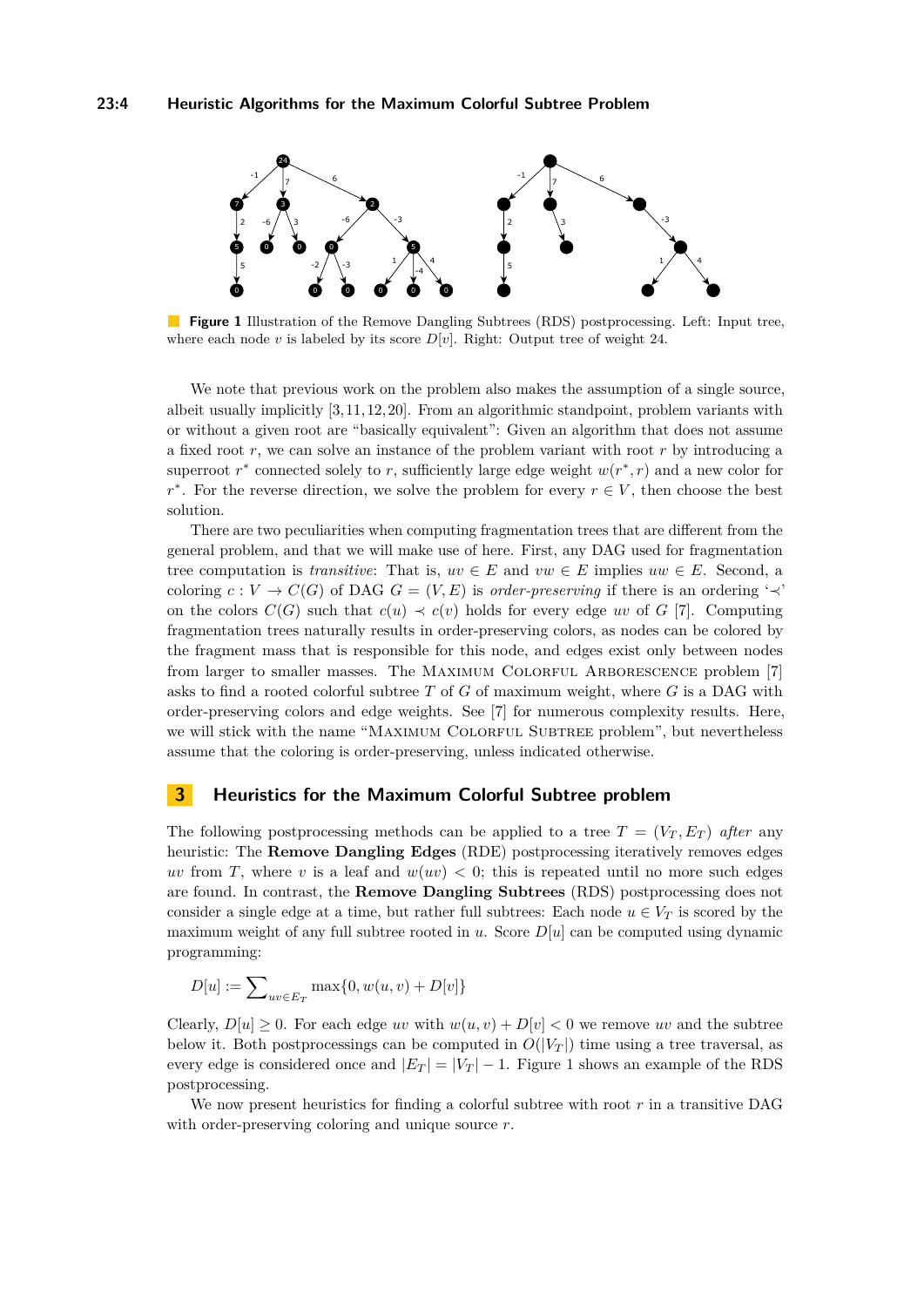## **23:4 Heuristic Algorithms for the Maximum Colorful Subtree Problem**

<span id="page-3-0"></span>

**Figure 1** Illustration of the Remove Dangling Subtrees (RDS) postprocessing. Left: Input tree, where each node *v* is labeled by its score  $D[v]$ . Right: Output tree of weight 24.

We note that previous work on the problem also makes the assumption of a single source, albeit usually implicitly [\[3,](#page-11-3) [11,](#page-12-5) [12,](#page-12-8) [20\]](#page-13-2). From an algorithmic standpoint, problem variants with or without a given root are "basically equivalent": Given an algorithm that does not assume a fixed root *r*, we can solve an instance of the problem variant with root *r* by introducing a superroot  $r^*$  connected solely to  $r$ , sufficiently large edge weight  $w(r^*, r)$  and a new color for  $r^*$ . For the reverse direction, we solve the problem for every  $r \in V$ , then choose the best solution.

There are two peculiarities when computing fragmentation trees that are different from the general problem, and that we will make use of here. First, any DAG used for fragmentation tree computation is *transitive*: That is,  $uv \in E$  and  $vw \in E$  implies  $uw \in E$ . Second, a coloring  $c: V \to C(G)$  of DAG  $G = (V, E)$  is *order-preserving* if there is an ordering ' $\prec$ ' on the colors  $C(G)$  such that  $c(u) \prec c(v)$  holds for every edge *uv* of *G* [\[7\]](#page-11-6). Computing fragmentation trees naturally results in order-preserving colors, as nodes can be colored by the fragment mass that is responsible for this node, and edges exist only between nodes from larger to smaller masses. The MAXIMUM COLORFUL ARBORESCENCE problem [\[7\]](#page-11-6) asks to find a rooted colorful subtree *T* of *G* of maximum weight, where *G* is a DAG with order-preserving colors and edge weights. See [\[7\]](#page-11-6) for numerous complexity results. Here, we will stick with the name "MAXIMUM COLORFUL SUBTREE problem", but nevertheless assume that the coloring is order-preserving, unless indicated otherwise.

## **3 Heuristics for the Maximum Colorful Subtree problem**

The following postprocessing methods can be applied to a tree  $T = (V_T, E_T)$  after any heuristic: The **Remove Dangling Edges** (RDE) postprocessing iteratively removes edges *uv* from *T*, where *v* is a leaf and  $w(uv) < 0$ ; this is repeated until no more such edges are found. In contrast, the **Remove Dangling Subtrees** (RDS) postprocessing does not consider a single edge at a time, but rather full subtrees: Each node  $u \in V_T$  is scored by the maximum weight of any full subtree rooted in  $u$ . Score  $D[u]$  can be computed using dynamic programming:

$$
D[u]:=\sum\nolimits_{uv\in E_T}\max\{0,w(u,v)+D[v]\}
$$

Clearly,  $D[u] \geq 0$ . For each edge *uv* with  $w(u, v) + D[v] < 0$  we remove *uv* and the subtree below it. Both postprocessings can be computed in  $O(|V_T|)$  time using a tree traversal, as every edge is considered once and  $|E_T| = |V_T| - 1$  $|E_T| = |V_T| - 1$ . Figure 1 shows an example of the RDS postprocessing.

We now present heuristics for finding a colorful subtree with root *r* in a transitive DAG with order-preserving coloring and unique source *r*.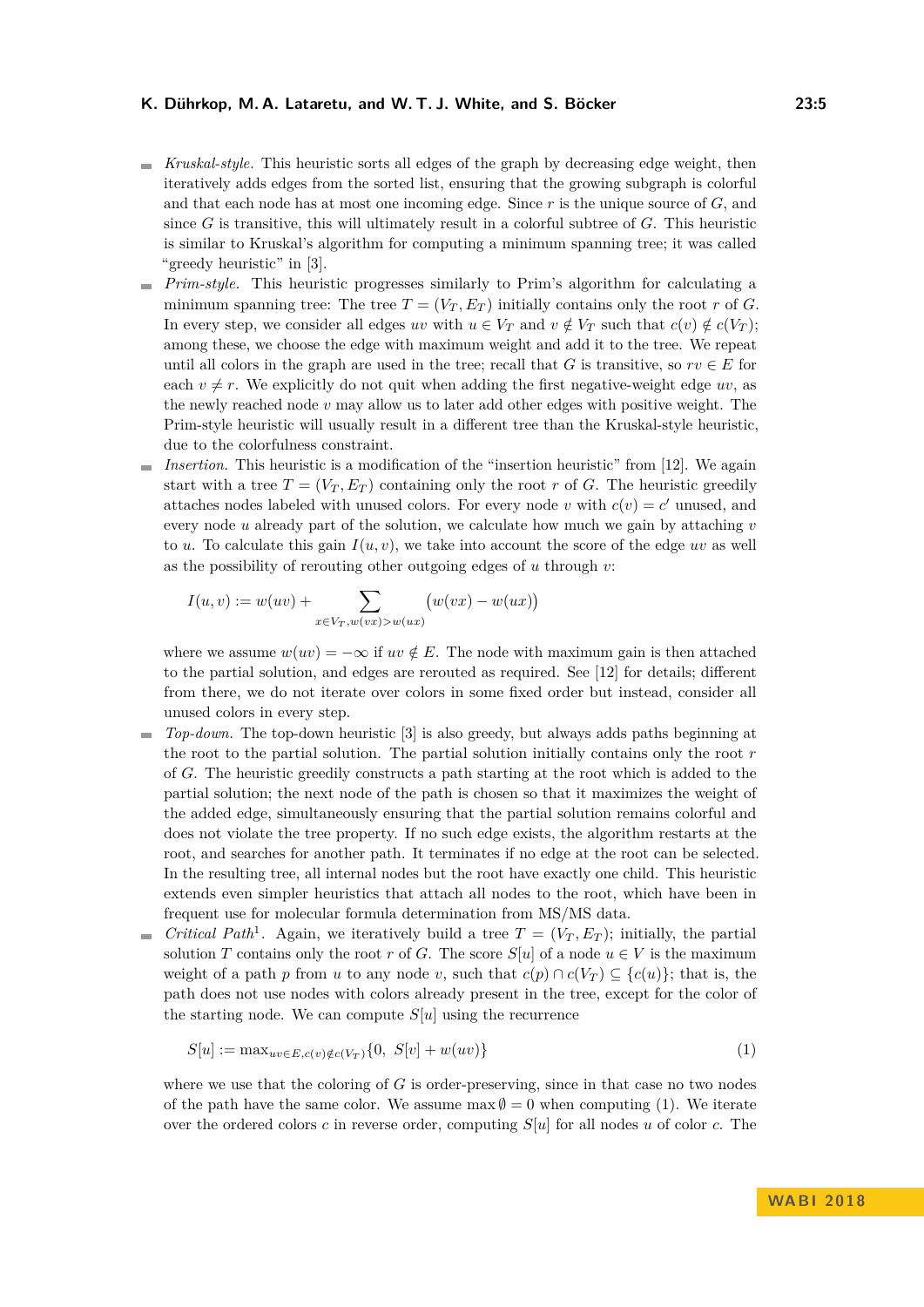#### **K. Dührkop, M. A. Lataretu, and W. T. J. White, and S. Böcker 23:5**

- *Kruskal-style.* This heuristic sorts all edges of the graph by decreasing edge weight, then iteratively adds edges from the sorted list, ensuring that the growing subgraph is colorful and that each node has at most one incoming edge. Since *r* is the unique source of *G*, and since *G* is transitive, this will ultimately result in a colorful subtree of *G*. This heuristic is similar to Kruskal's algorithm for computing a minimum spanning tree; it was called "greedy heuristic" in [\[3\]](#page-11-3).
- *Prim-style.* This heuristic progresses similarly to Prim's algorithm for calculating a minimum spanning tree: The tree  $T = (V_T, E_T)$  initially contains only the root *r* of *G*. In every step, we consider all edges *uv* with  $u \in V_T$  and  $v \notin V_T$  such that  $c(v) \notin c(V_T)$ ; among these, we choose the edge with maximum weight and add it to the tree. We repeat until all colors in the graph are used in the tree; recall that *G* is transitive, so  $rv \in E$  for each  $v \neq r$ . We explicitly do not quit when adding the first negative-weight edge *uv*, as the newly reached node *v* may allow us to later add other edges with positive weight. The Prim-style heuristic will usually result in a different tree than the Kruskal-style heuristic, due to the colorfulness constraint.
- $\blacksquare$  *Insertion.* This heuristic is a modification of the "insertion heuristic" from [\[12\]](#page-12-8). We again start with a tree  $T = (V_T, E_T)$  containing only the root r of G. The heuristic greedily attaches nodes labeled with unused colors. For every node *v* with  $c(v) = c'$  unused, and every node *u* already part of the solution, we calculate how much we gain by attaching *v* to *u*. To calculate this gain  $I(u, v)$ , we take into account the score of the edge *uv* as well as the possibility of rerouting other outgoing edges of *u* through *v*:

$$
I(u, v) := w(uv) + \sum_{x \in V_T, w(vx) > w(ux)} (w(vx) - w(ux))
$$

where we assume  $w(uv) = -\infty$  if  $uv \notin E$ . The node with maximum gain is then attached to the partial solution, and edges are rerouted as required. See [\[12\]](#page-12-8) for details; different from there, we do not iterate over colors in some fixed order but instead, consider all unused colors in every step.

- *Top-down.* The top-down heuristic [\[3\]](#page-11-3) is also greedy, but always adds paths beginning at  $\mathbf{r}$ the root to the partial solution. The partial solution initially contains only the root *r* of *G*. The heuristic greedily constructs a path starting at the root which is added to the partial solution; the next node of the path is chosen so that it maximizes the weight of the added edge, simultaneously ensuring that the partial solution remains colorful and does not violate the tree property. If no such edge exists, the algorithm restarts at the root, and searches for another path. It terminates if no edge at the root can be selected. In the resulting tree, all internal nodes but the root have exactly one child. This heuristic extends even simpler heuristics that attach all nodes to the root, which have been in frequent use for molecular formula determination from MS/MS data.
- *Critical Path*<sup>1</sup>. Again, we iteratively build a tree  $T = (V_T, E_T)$ ; initially, the partial ц. solution *T* contains only the root *r* of *G*. The score  $S[u]$  of a node  $u \in V$  is the maximum weight of a path *p* from *u* to any node *v*, such that  $c(p) \cap c(V_T) \subseteq \{c(u)\}$ ; that is, the path does not use nodes with colors already present in the tree, except for the color of the starting node. We can compute  $S[u]$  using the recurrence

<span id="page-4-0"></span>
$$
S[u] := \max_{uv \in E, c(v) \notin c(V_T)} \{0, S[v] + w(uv)\}
$$
\n(1)

where we use that the coloring of *G* is order-preserving, since in that case no two nodes of the path have the same color. We assume  $\max \emptyset = 0$  when computing [\(1\)](#page-4-0). We iterate over the ordered colors *c* in reverse order, computing *S*[*u*] for all nodes *u* of color *c*. The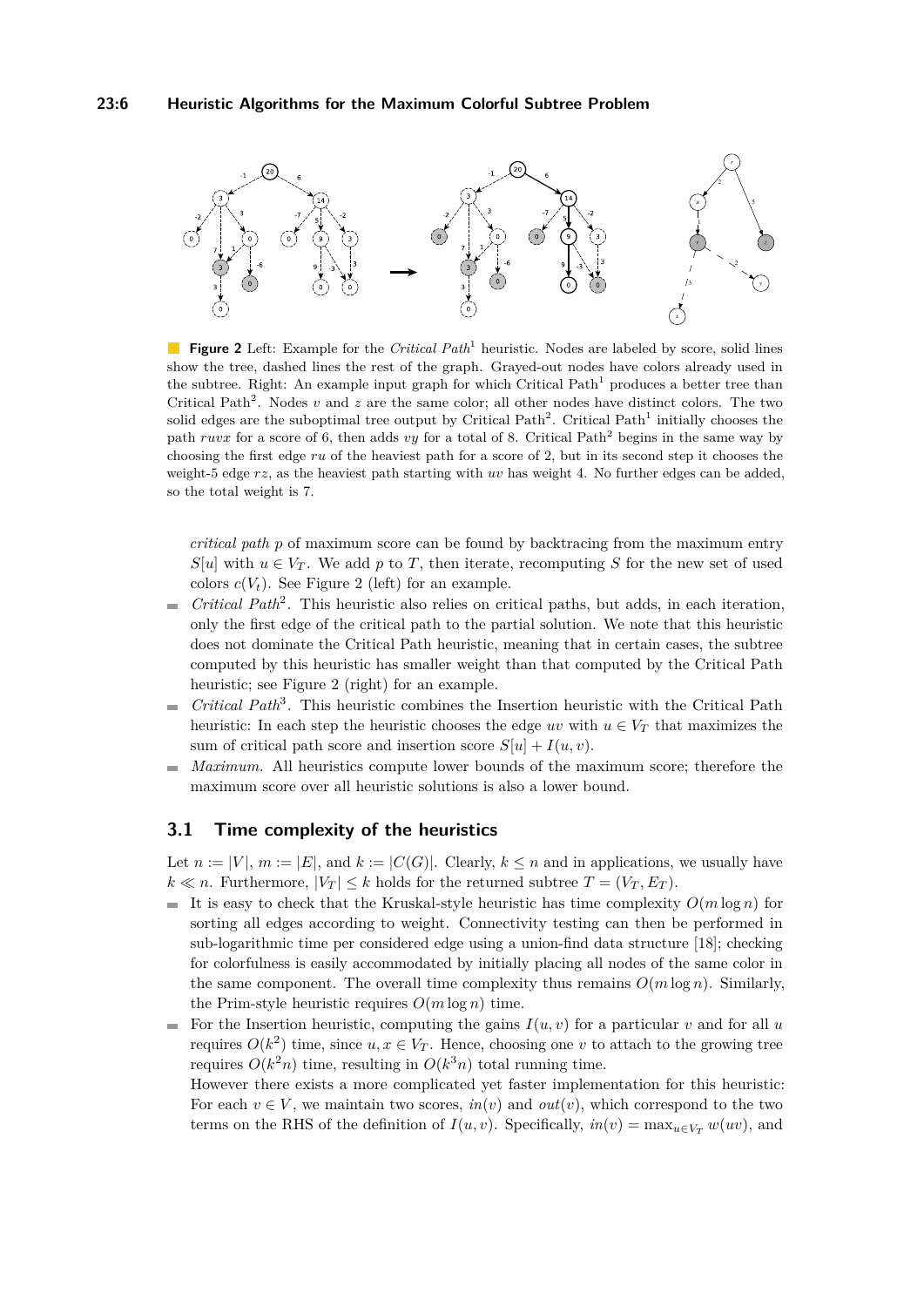## **23:6 Heuristic Algorithms for the Maximum Colorful Subtree Problem**

<span id="page-5-0"></span>

**Figure 2** Left: Example for the *Critical Path*<sup>1</sup> heuristic. Nodes are labeled by score, solid lines show the tree, dashed lines the rest of the graph. Grayed-out nodes have colors already used in the subtree. Right: An example input graph for which Critical Path<sup>1</sup> produces a better tree than Critical Path<sup>2</sup>. Nodes  $v$  and  $z$  are the same color; all other nodes have distinct colors. The two solid edges are the suboptimal tree output by Critical Path<sup>2</sup>. Critical Path<sup>1</sup> initially chooses the path *ruvx* for a score of 6, then adds *vy* for a total of 8. Critical Path<sup>2</sup> begins in the same way by choosing the first edge *ru* of the heaviest path for a score of 2, but in its second step it chooses the weight-5 edge *rz*, as the heaviest path starting with *uv* has weight 4. No further edges can be added, so the total weight is 7.

*critical path p* of maximum score can be found by backtracing from the maximum entry  $S[u]$  with  $u \in V_T$ . We add p to T, then iterate, recomputing S for the new set of used colors  $c(V_t)$ . See Figure [2](#page-5-0) (left) for an example.

- *Critical Path*<sup>2</sup> *.* This heuristic also relies on critical paths, but adds, in each iteration,  $\overline{\phantom{a}}$ only the first edge of the critical path to the partial solution. We note that this heuristic does not dominate the Critical Path heuristic, meaning that in certain cases, the subtree computed by this heuristic has smaller weight than that computed by the Critical Path heuristic; see Figure [2](#page-5-0) (right) for an example.
- Critical Path<sup>3</sup>. This heuristic combines the Insertion heuristic with the Critical Path  $\blacksquare$ heuristic: In each step the heuristic chooses the edge *uv* with  $u \in V_T$  that maximizes the sum of critical path score and insertion score  $S[u] + I(u, v)$ .
- *Maximum.* All heuristics compute lower bounds of the maximum score; therefore the  $\overline{a}$ maximum score over all heuristic solutions is also a lower bound.

## **3.1 Time complexity of the heuristics**

Let  $n := |V|$ ,  $m := |E|$ , and  $k := |C(G)|$ . Clearly,  $k \leq n$  and in applications, we usually have  $k \ll n$ . Furthermore,  $|V_T| \le k$  holds for the returned subtree  $T = (V_T, E_T)$ .

- It is easy to check that the Kruskal-style heuristic has time complexity  $O(m \log n)$  for sorting all edges according to weight. Connectivity testing can then be performed in sub-logarithmic time per considered edge using a union-find data structure [\[18\]](#page-12-9); checking for colorfulness is easily accommodated by initially placing all nodes of the same color in the same component. The overall time complexity thus remains  $O(m \log n)$ . Similarly, the Prim-style heuristic requires  $O(m \log n)$  time.
- For the Insertion heuristic, computing the gains  $I(u, v)$  for a particular *v* and for all *u*  $\blacksquare$ requires  $O(k^2)$  time, since  $u, x \in V_T$ . Hence, choosing one *v* to attach to the growing tree requires  $O(k^2n)$  time, resulting in  $O(k^3n)$  total running time.

However there exists a more complicated yet faster implementation for this heuristic: For each  $v \in V$ , we maintain two scores,  $in(v)$  and  $out(v)$ , which correspond to the two terms on the RHS of the definition of  $I(u, v)$ . Specifically,  $in(v) = \max_{u \in V_T} w(uv)$ , and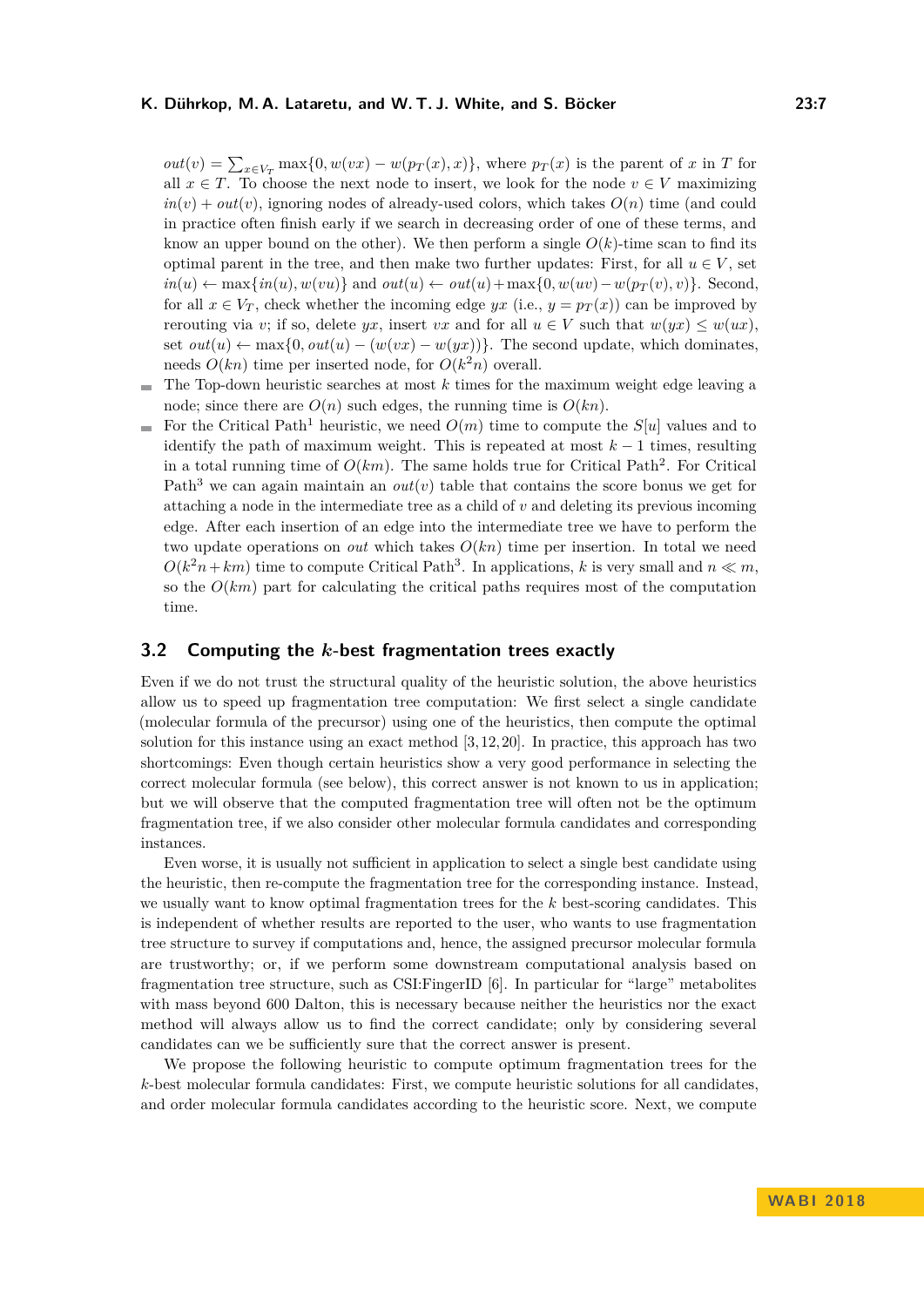### **K. Dührkop, M. A. Lataretu, and W. T. J. White, and S. Böcker 23:7**

 $out(v) = \sum_{x \in V_T} \max\{0, w(vx) - w(p_T(x), x)\},$  where  $p_T(x)$  is the parent of *x* in *T* for all  $x \in T$ . To choose the next node to insert, we look for the node  $v \in V$  maximizing  $in(v) + out(v)$ , ignoring nodes of already-used colors, which takes  $O(n)$  time (and could in practice often finish early if we search in decreasing order of one of these terms, and know an upper bound on the other). We then perform a single  $O(k)$ -time scan to find its optimal parent in the tree, and then make two further updates: First, for all  $u \in V$ , set  $in(u) \leftarrow \max\{in(u), w(vu)\}\$ and  $out(u) \leftarrow out(u) + \max\{0, w(uv) - w(p_T(v), v)\}\$ . Second, for all  $x \in V_T$ , check whether the incoming edge *yx* (i.e.,  $y = p_T(x)$ ) can be improved by rerouting via *v*; if so, delete *yx*, insert *vx* and for all  $u \in V$  such that  $w(yx) \leq w(ux)$ , set  $out(u) \leftarrow \max\{0, out(u) - (w(vx) - w(yx))\}$ . The second update, which dominates, needs  $O(kn)$  time per inserted node, for  $O(k^2n)$  overall.

- The Top-down heuristic searches at most *k* times for the maximum weight edge leaving a ÷ node; since there are  $O(n)$  such edges, the running time is  $O(kn)$ .
- For the Critical Path<sup>1</sup> heuristic, we need  $O(m)$  time to compute the  $S[u]$  values and to  $\sim$ identify the path of maximum weight. This is repeated at most  $k-1$  times, resulting in a total running time of  $O(km)$ . The same holds true for Critical Path<sup>2</sup>. For Critical Path<sup>3</sup> we can again maintain an *out*(*v*) table that contains the score bonus we get for attaching a node in the intermediate tree as a child of *v* and deleting its previous incoming edge. After each insertion of an edge into the intermediate tree we have to perform the two update operations on *out* which takes  $O(kn)$  time per insertion. In total we need  $O(k^2n + km)$  time to compute Critical Path<sup>3</sup>. In applications, *k* is very small and  $n \ll m$ , so the  $O(km)$  part for calculating the critical paths requires most of the computation time.

## <span id="page-6-0"></span>**3.2 Computing the** *k***-best fragmentation trees exactly**

Even if we do not trust the structural quality of the heuristic solution, the above heuristics allow us to speed up fragmentation tree computation: We first select a single candidate (molecular formula of the precursor) using one of the heuristics, then compute the optimal solution for this instance using an exact method  $[3, 12, 20]$  $[3, 12, 20]$  $[3, 12, 20]$ . In practice, this approach has two shortcomings: Even though certain heuristics show a very good performance in selecting the correct molecular formula (see below), this correct answer is not known to us in application; but we will observe that the computed fragmentation tree will often not be the optimum fragmentation tree, if we also consider other molecular formula candidates and corresponding instances.

Even worse, it is usually not sufficient in application to select a single best candidate using the heuristic, then re-compute the fragmentation tree for the corresponding instance. Instead, we usually want to know optimal fragmentation trees for the *k* best-scoring candidates. This is independent of whether results are reported to the user, who wants to use fragmentation tree structure to survey if computations and, hence, the assigned precursor molecular formula are trustworthy; or, if we perform some downstream computational analysis based on fragmentation tree structure, such as CSI:FingerID [\[6\]](#page-11-4). In particular for "large" metabolites with mass beyond 600 Dalton, this is necessary because neither the heuristics nor the exact method will always allow us to find the correct candidate; only by considering several candidates can we be sufficiently sure that the correct answer is present.

We propose the following heuristic to compute optimum fragmentation trees for the *k*-best molecular formula candidates: First, we compute heuristic solutions for all candidates, and order molecular formula candidates according to the heuristic score. Next, we compute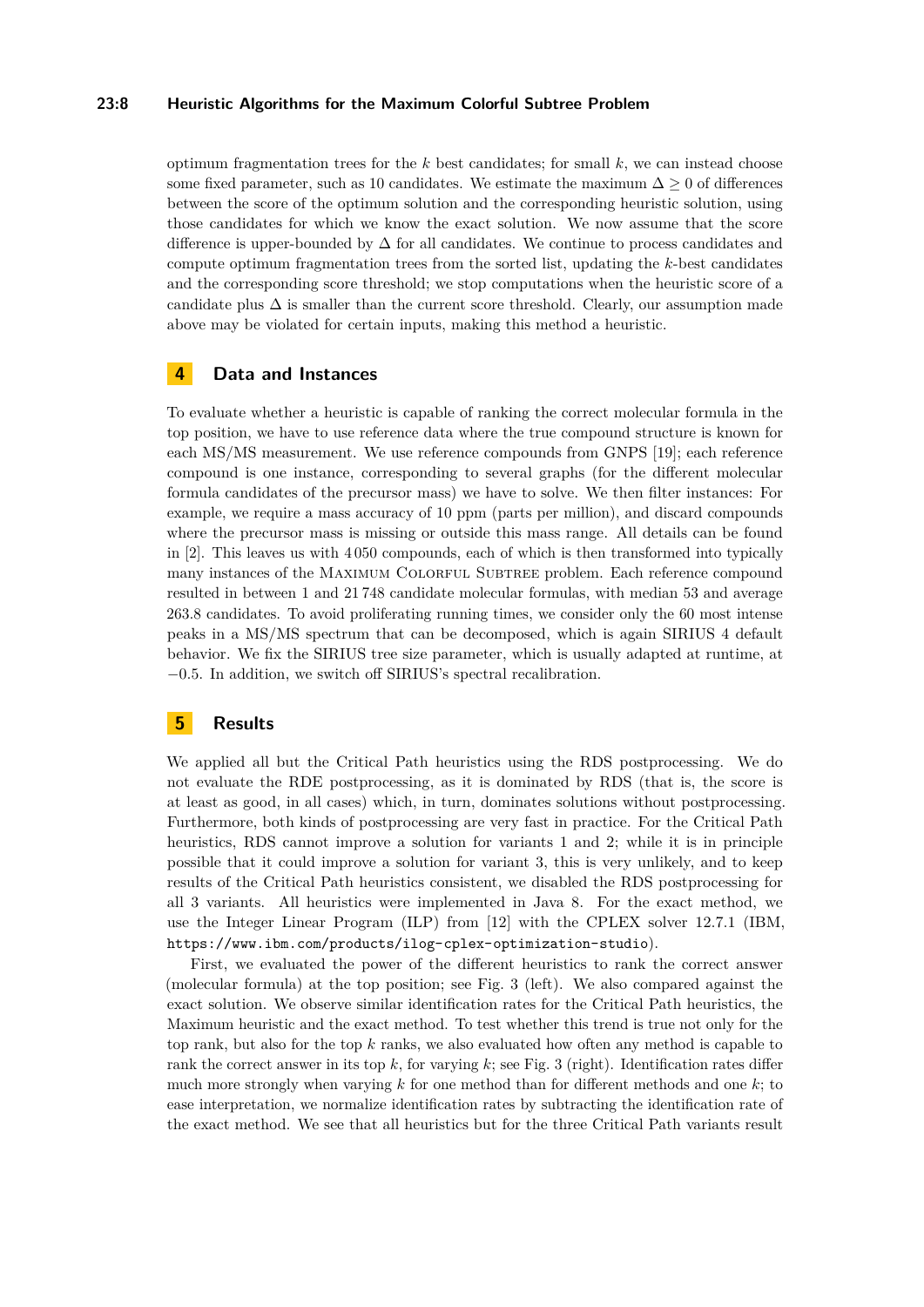### **23:8 Heuristic Algorithms for the Maximum Colorful Subtree Problem**

optimum fragmentation trees for the  $k$  best candidates; for small  $k$ , we can instead choose some fixed parameter, such as 10 candidates. We estimate the maximum  $\Delta \geq 0$  of differences between the score of the optimum solution and the corresponding heuristic solution, using those candidates for which we know the exact solution. We now assume that the score difference is upper-bounded by  $\Delta$  for all candidates. We continue to process candidates and compute optimum fragmentation trees from the sorted list, updating the *k*-best candidates and the corresponding score threshold; we stop computations when the heuristic score of a candidate plus  $\Delta$  is smaller than the current score threshold. Clearly, our assumption made above may be violated for certain inputs, making this method a heuristic.

# **4 Data and Instances**

To evaluate whether a heuristic is capable of ranking the correct molecular formula in the top position, we have to use reference data where the true compound structure is known for each MS/MS measurement. We use reference compounds from GNPS [\[19\]](#page-12-3); each reference compound is one instance, corresponding to several graphs (for the different molecular formula candidates of the precursor mass) we have to solve. We then filter instances: For example, we require a mass accuracy of 10 ppm (parts per million), and discard compounds where the precursor mass is missing or outside this mass range. All details can be found in [\[2\]](#page-11-5). This leaves us with 4 050 compounds, each of which is then transformed into typically many instances of the MAXIMUM COLORFUL SUBTREE problem. Each reference compound resulted in between 1 and 21 748 candidate molecular formulas, with median 53 and average 263.8 candidates. To avoid proliferating running times, we consider only the 60 most intense peaks in a MS/MS spectrum that can be decomposed, which is again SIRIUS 4 default behavior. We fix the SIRIUS tree size parameter, which is usually adapted at runtime, at −0*.*5. In addition, we switch off SIRIUS's spectral recalibration.

# **5 Results**

We applied all but the Critical Path heuristics using the RDS postprocessing. We do not evaluate the RDE postprocessing, as it is dominated by RDS (that is, the score is at least as good, in all cases) which, in turn, dominates solutions without postprocessing. Furthermore, both kinds of postprocessing are very fast in practice. For the Critical Path heuristics, RDS cannot improve a solution for variants 1 and 2; while it is in principle possible that it could improve a solution for variant 3, this is very unlikely, and to keep results of the Critical Path heuristics consistent, we disabled the RDS postprocessing for all 3 variants. All heuristics were implemented in Java 8. For the exact method, we use the Integer Linear Program (ILP) from [\[12\]](#page-12-8) with the CPLEX solver 12.7.1 (IBM, <https://www.ibm.com/products/ilog-cplex-optimization-studio>).

First, we evaluated the power of the different heuristics to rank the correct answer (molecular formula) at the top position; see Fig. [3](#page-8-0) (left). We also compared against the exact solution. We observe similar identification rates for the Critical Path heuristics, the Maximum heuristic and the exact method. To test whether this trend is true not only for the top rank, but also for the top *k* ranks, we also evaluated how often any method is capable to rank the correct answer in its top  $k$ , for varying  $k$ ; see Fig. [3](#page-8-0) (right). Identification rates differ much more strongly when varying *k* for one method than for different methods and one *k*; to ease interpretation, we normalize identification rates by subtracting the identification rate of the exact method. We see that all heuristics but for the three Critical Path variants result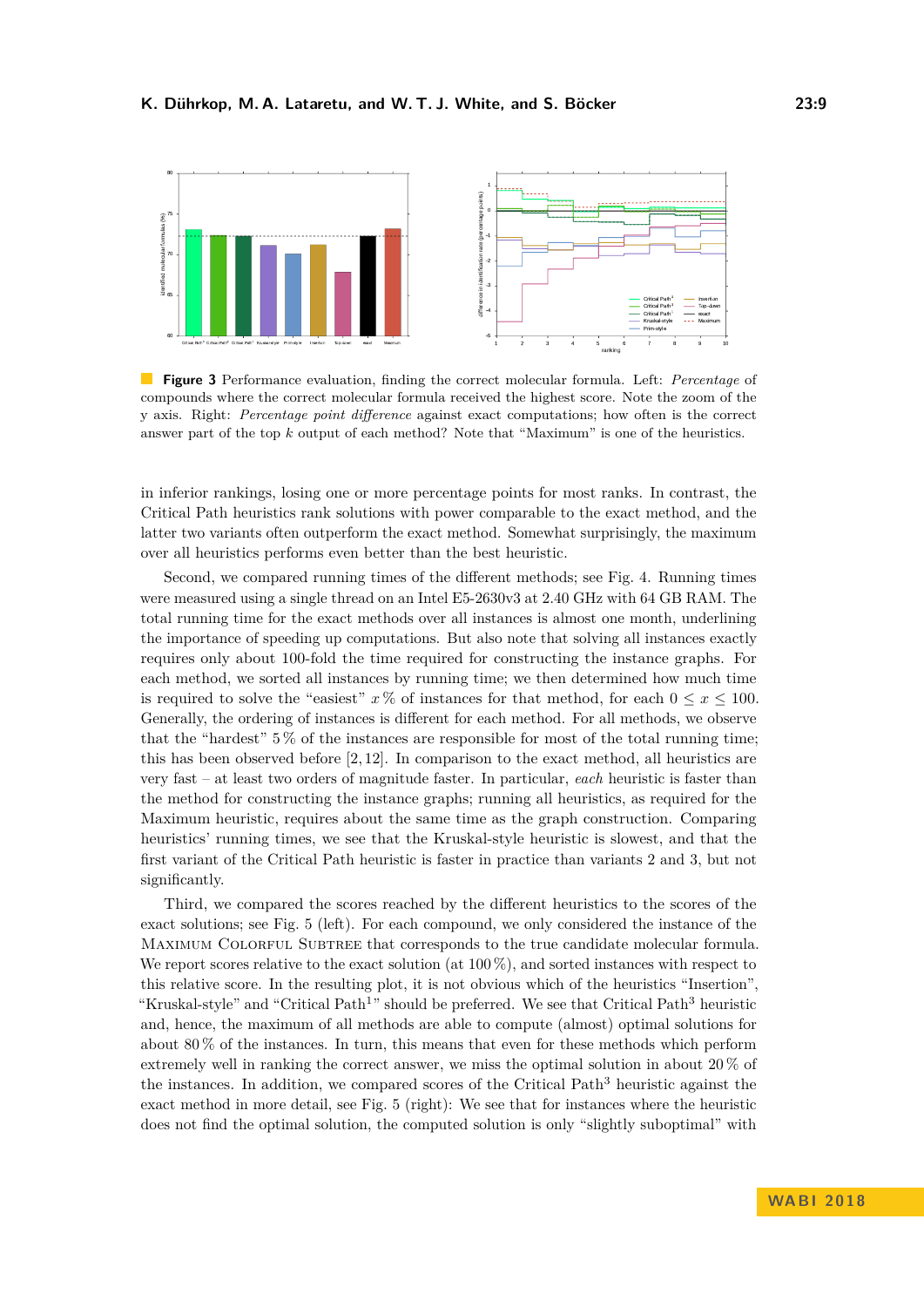<span id="page-8-0"></span>

**Figure 3** Performance evaluation, finding the correct molecular formula. Left: *Percentage* of compounds where the correct molecular formula received the highest score. Note the zoom of the y axis. Right: *Percentage point difference* against exact computations; how often is the correct answer part of the top *k* output of each method? Note that "Maximum" is one of the heuristics.

in inferior rankings, losing one or more percentage points for most ranks. In contrast, the Critical Path heuristics rank solutions with power comparable to the exact method, and the latter two variants often outperform the exact method. Somewhat surprisingly, the maximum over all heuristics performs even better than the best heuristic.

Second, we compared running times of the different methods; see Fig. [4.](#page-9-0) Running times were measured using a single thread on an Intel E5-2630v3 at 2.40 GHz with 64 GB RAM. The total running time for the exact methods over all instances is almost one month, underlining the importance of speeding up computations. But also note that solving all instances exactly requires only about 100-fold the time required for constructing the instance graphs. For each method, we sorted all instances by running time; we then determined how much time is required to solve the "easiest"  $x \%$  of instances for that method, for each  $0 \le x \le 100$ . Generally, the ordering of instances is different for each method. For all methods, we observe that the "hardest" 5 % of the instances are responsible for most of the total running time; this has been observed before [\[2,](#page-11-5) [12\]](#page-12-8). In comparison to the exact method, all heuristics are very fast – at least two orders of magnitude faster. In particular, *each* heuristic is faster than the method for constructing the instance graphs; running all heuristics, as required for the Maximum heuristic, requires about the same time as the graph construction. Comparing heuristics' running times, we see that the Kruskal-style heuristic is slowest, and that the first variant of the Critical Path heuristic is faster in practice than variants 2 and 3, but not significantly.

Third, we compared the scores reached by the different heuristics to the scores of the exact solutions; see Fig. [5](#page-10-0) (left). For each compound, we only considered the instance of the MAXIMUM COLORFUL SUBTREE that corresponds to the true candidate molecular formula. We report scores relative to the exact solution (at  $100\%$ ), and sorted instances with respect to this relative score. In the resulting plot, it is not obvious which of the heuristics "Insertion", "Kruskal-style" and "Critical Path<sup>1</sup>" should be preferred. We see that Critical Path<sup>3</sup> heuristic and, hence, the maximum of all methods are able to compute (almost) optimal solutions for about 80 % of the instances. In turn, this means that even for these methods which perform extremely well in ranking the correct answer, we miss the optimal solution in about 20 % of the instances. In addition, we compared scores of the Critical Path $3$  heuristic against the exact method in more detail, see Fig. [5](#page-10-0) (right): We see that for instances where the heuristic does not find the optimal solution, the computed solution is only "slightly suboptimal" with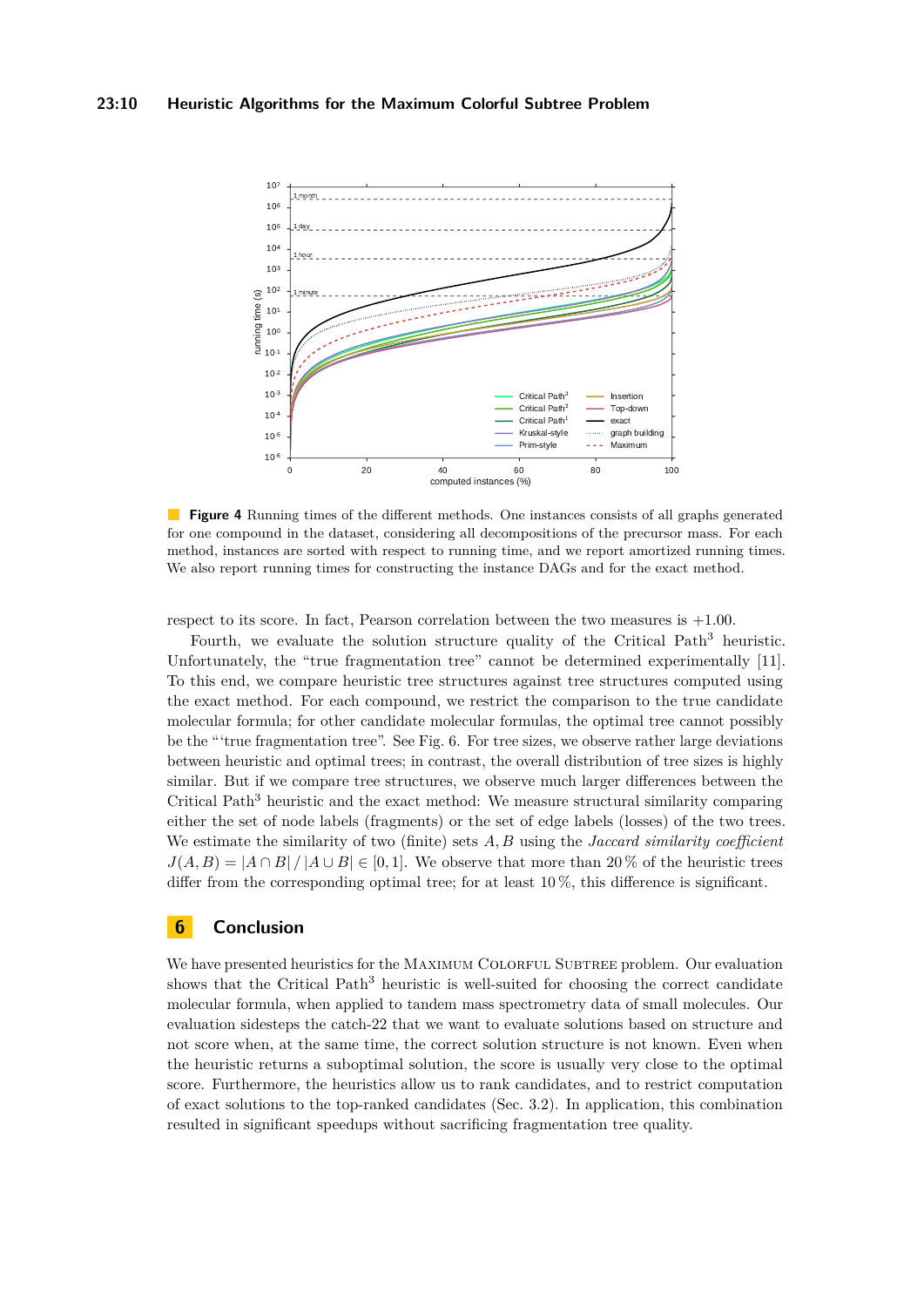<span id="page-9-0"></span>

**Figure 4** Running times of the different methods. One instances consists of all graphs generated for one compound in the dataset, considering all decompositions of the precursor mass. For each method, instances are sorted with respect to running time, and we report amortized running times. We also report running times for constructing the instance DAGs and for the exact method.

respect to its score. In fact, Pearson correlation between the two measures is +1*.*00.

Fourth, we evaluate the solution structure quality of the Critical Path<sup>3</sup> heuristic. Unfortunately, the "true fragmentation tree" cannot be determined experimentally [\[11\]](#page-12-5). To this end, we compare heuristic tree structures against tree structures computed using the exact method. For each compound, we restrict the comparison to the true candidate molecular formula; for other candidate molecular formulas, the optimal tree cannot possibly be the "'true fragmentation tree". See Fig. [6.](#page-11-9) For tree sizes, we observe rather large deviations between heuristic and optimal trees; in contrast, the overall distribution of tree sizes is highly similar. But if we compare tree structures, we observe much larger differences between the Critical Path<sup>3</sup> heuristic and the exact method: We measure structural similarity comparing either the set of node labels (fragments) or the set of edge labels (losses) of the two trees. We estimate the similarity of two (finite) sets *A, B* using the *Jaccard similarity coefficient*  $J(A, B) = |A \cap B| / |A \cup B| \in [0, 1]$ . We observe that more than 20 % of the heuristic trees differ from the corresponding optimal tree; for at least  $10\%$ , this difference is significant.

# **6 Conclusion**

We have presented heuristics for the MAXIMUM COLORFUL SUBTREE problem. Our evaluation shows that the Critical Path<sup>3</sup> heuristic is well-suited for choosing the correct candidate molecular formula, when applied to tandem mass spectrometry data of small molecules. Our evaluation sidesteps the catch-22 that we want to evaluate solutions based on structure and not score when, at the same time, the correct solution structure is not known. Even when the heuristic returns a suboptimal solution, the score is usually very close to the optimal score. Furthermore, the heuristics allow us to rank candidates, and to restrict computation of exact solutions to the top-ranked candidates (Sec. [3.2\)](#page-6-0). In application, this combination resulted in significant speedups without sacrificing fragmentation tree quality.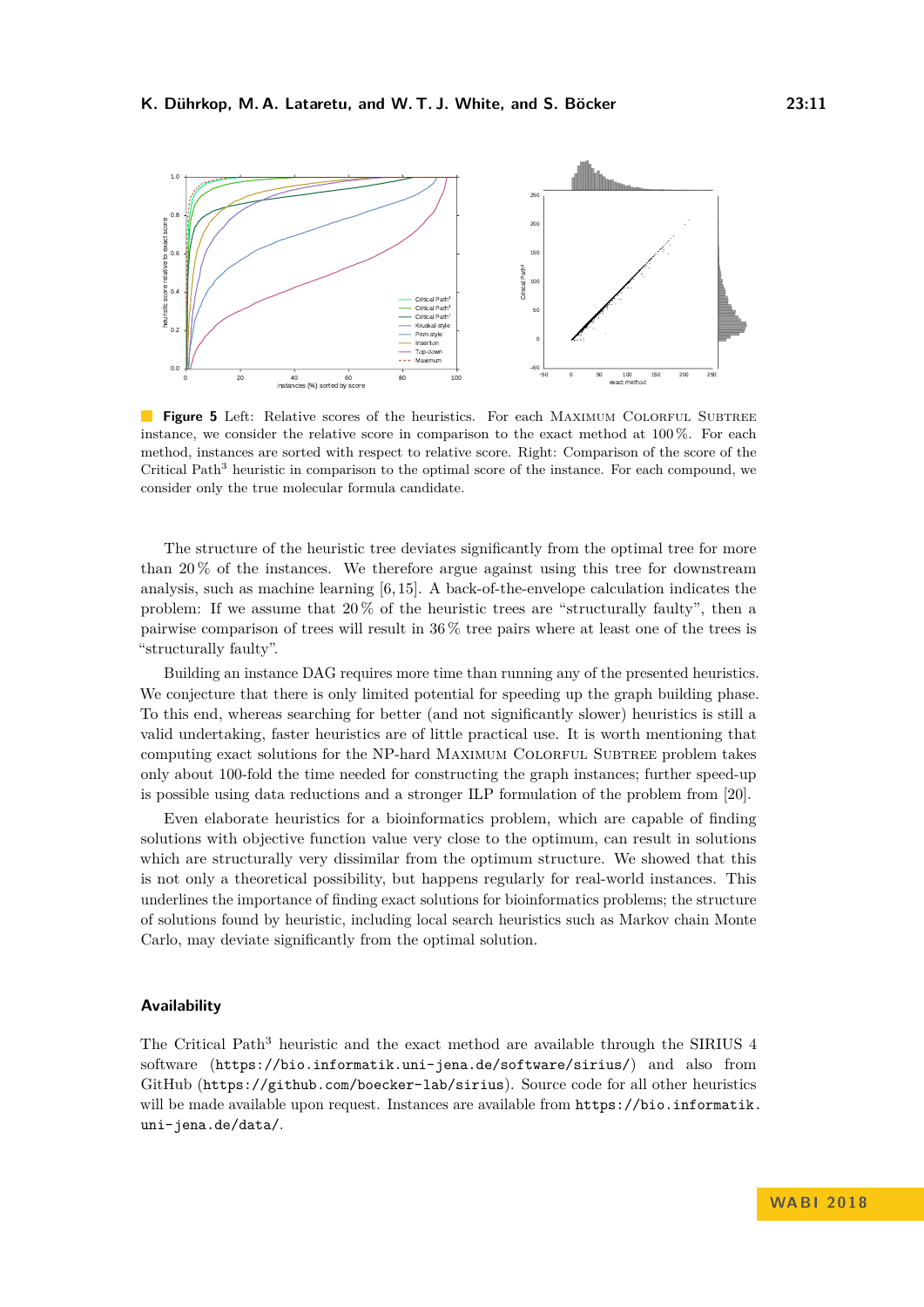<span id="page-10-0"></span>

**Figure 5** Left: Relative scores of the heuristics. For each MAXIMUM COLORFUL SUBTREE instance, we consider the relative score in comparison to the exact method at 100 %. For each method, instances are sorted with respect to relative score. Right: Comparison of the score of the Critical Path<sup>3</sup> heuristic in comparison to the optimal score of the instance. For each compound, we consider only the true molecular formula candidate.

The structure of the heuristic tree deviates significantly from the optimal tree for more than 20 % of the instances. We therefore argue against using this tree for downstream analysis, such as machine learning [\[6,](#page-11-4) [15\]](#page-12-6). A back-of-the-envelope calculation indicates the problem: If we assume that  $20\%$  of the heuristic trees are "structurally faulty", then a pairwise comparison of trees will result in 36 % tree pairs where at least one of the trees is "structurally faulty".

Building an instance DAG requires more time than running any of the presented heuristics. We conjecture that there is only limited potential for speeding up the graph building phase. To this end, whereas searching for better (and not significantly slower) heuristics is still a valid undertaking, faster heuristics are of little practical use. It is worth mentioning that computing exact solutions for the NP-hard MAXIMUM COLORFUL SUBTREE problem takes only about 100-fold the time needed for constructing the graph instances; further speed-up is possible using data reductions and a stronger ILP formulation of the problem from [\[20\]](#page-13-2).

Even elaborate heuristics for a bioinformatics problem, which are capable of finding solutions with objective function value very close to the optimum, can result in solutions which are structurally very dissimilar from the optimum structure. We showed that this is not only a theoretical possibility, but happens regularly for real-world instances. This underlines the importance of finding exact solutions for bioinformatics problems; the structure of solutions found by heuristic, including local search heuristics such as Markov chain Monte Carlo, may deviate significantly from the optimal solution.

#### **Availability**

The Critical Path<sup>3</sup> heuristic and the exact method are available through the SIRIUS  $4$ software (<https://bio.informatik.uni-jena.de/software/sirius/>) and also from GitHub (<https://github.com/boecker-lab/sirius>). Source code for all other heuristics will be made available upon request. Instances are available from [https://bio.informatik.](https://bio.informatik.uni-jena.de/data/) [uni-jena.de/data/](https://bio.informatik.uni-jena.de/data/).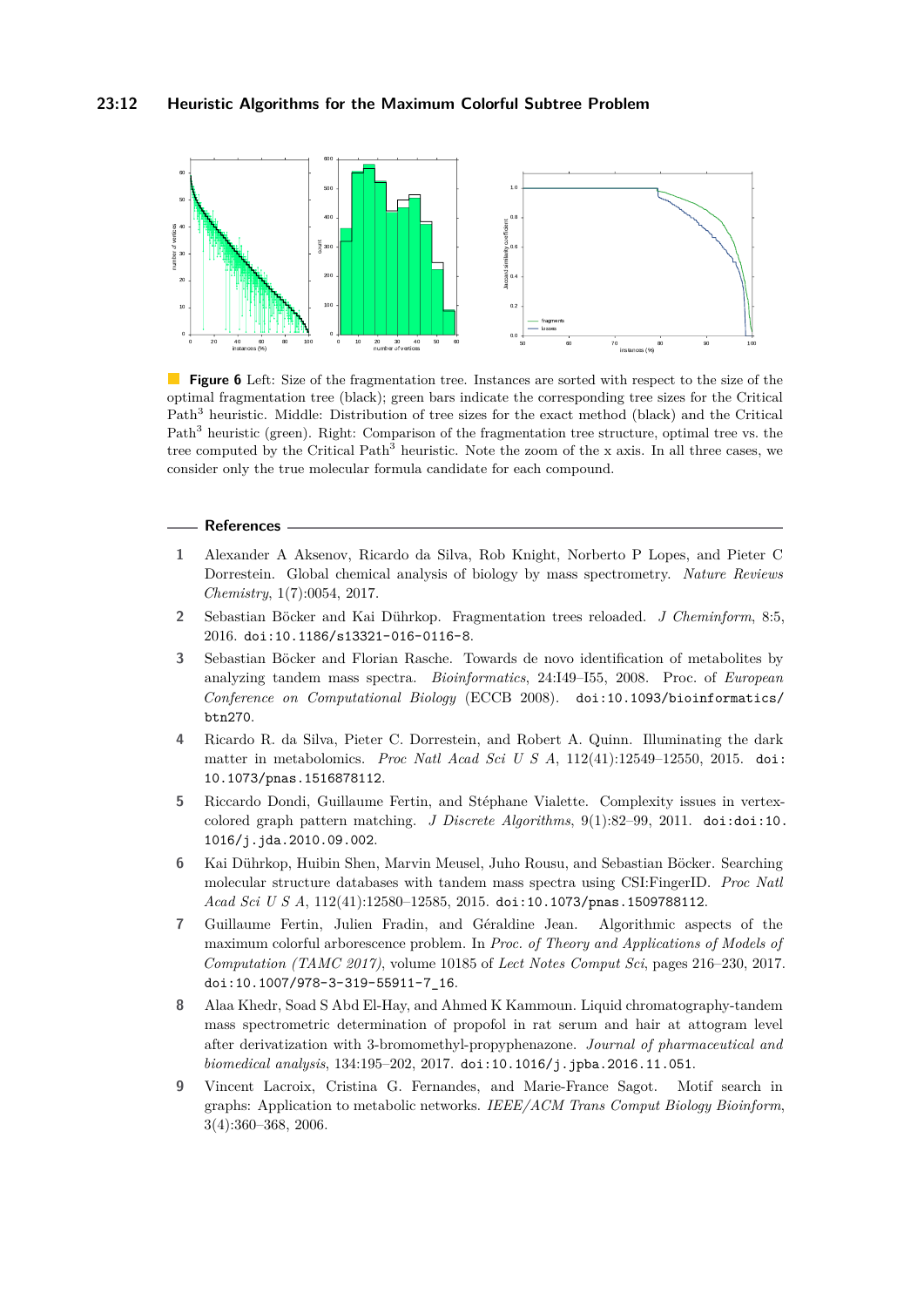## **23:12 Heuristic Algorithms for the Maximum Colorful Subtree Problem**

<span id="page-11-9"></span>

**Figure 6** Left: Size of the fragmentation tree. Instances are sorted with respect to the size of the optimal fragmentation tree (black); green bars indicate the corresponding tree sizes for the Critical Path<sup>3</sup> heuristic. Middle: Distribution of tree sizes for the exact method (black) and the Critical Path<sup>3</sup> heuristic (green). Right: Comparison of the fragmentation tree structure, optimal tree vs. the tree computed by the Critical Path<sup>3</sup> heuristic. Note the zoom of the x axis. In all three cases, we consider only the true molecular formula candidate for each compound.

#### **References**

- <span id="page-11-0"></span>**1** Alexander A Aksenov, Ricardo da Silva, Rob Knight, Norberto P Lopes, and Pieter C Dorrestein. Global chemical analysis of biology by mass spectrometry. *Nature Reviews Chemistry*, 1(7):0054, 2017.
- <span id="page-11-5"></span>**2** Sebastian Böcker and Kai Dührkop. Fragmentation trees reloaded. *J Cheminform*, 8:5, 2016. [doi:10.1186/s13321-016-0116-8](http://dx.doi.org/10.1186/s13321-016-0116-8).
- <span id="page-11-3"></span>**3** Sebastian Böcker and Florian Rasche. Towards de novo identification of metabolites by analyzing tandem mass spectra. *Bioinformatics*, 24:I49–I55, 2008. Proc. of *European Conference on Computational Biology* (ECCB 2008). [doi:10.1093/bioinformatics/](http://dx.doi.org/10.1093/bioinformatics/btn270) [btn270](http://dx.doi.org/10.1093/bioinformatics/btn270).
- <span id="page-11-2"></span>**4** Ricardo R. da Silva, Pieter C. Dorrestein, and Robert A. Quinn. Illuminating the dark matter in metabolomics. *Proc Natl Acad Sci U S A*, 112(41):12549–12550, 2015. [doi:](http://dx.doi.org/10.1073/pnas.1516878112) [10.1073/pnas.1516878112](http://dx.doi.org/10.1073/pnas.1516878112).
- <span id="page-11-7"></span>**5** Riccardo Dondi, Guillaume Fertin, and Stéphane Vialette. Complexity issues in vertexcolored graph pattern matching. *J Discrete Algorithms*, 9(1):82–99, 2011. [doi:doi:10.](http://dx.doi.org/doi:10.1016/j.jda.2010.09.002) [1016/j.jda.2010.09.002](http://dx.doi.org/doi:10.1016/j.jda.2010.09.002).
- <span id="page-11-4"></span>**6** Kai Dührkop, Huibin Shen, Marvin Meusel, Juho Rousu, and Sebastian Böcker. Searching molecular structure databases with tandem mass spectra using CSI:FingerID. *Proc Natl Acad Sci U S A*, 112(41):12580–12585, 2015. [doi:10.1073/pnas.1509788112](http://dx.doi.org/10.1073/pnas.1509788112).
- <span id="page-11-6"></span>**7** Guillaume Fertin, Julien Fradin, and Géraldine Jean. Algorithmic aspects of the maximum colorful arborescence problem. In *Proc. of Theory and Applications of Models of Computation (TAMC 2017)*, volume 10185 of *Lect Notes Comput Sci*, pages 216–230, 2017. [doi:10.1007/978-3-319-55911-7\\_16](http://dx.doi.org/10.1007/978-3-319-55911-7_16).
- <span id="page-11-1"></span>**8** Alaa Khedr, Soad S Abd El-Hay, and Ahmed K Kammoun. Liquid chromatography-tandem mass spectrometric determination of propofol in rat serum and hair at attogram level after derivatization with 3-bromomethyl-propyphenazone. *Journal of pharmaceutical and biomedical analysis*, 134:195–202, 2017. [doi:10.1016/j.jpba.2016.11.051](http://dx.doi.org/10.1016/j.jpba.2016.11.051).
- <span id="page-11-8"></span>**9** Vincent Lacroix, Cristina G. Fernandes, and Marie-France Sagot. Motif search in graphs: Application to metabolic networks. *IEEE/ACM Trans Comput Biology Bioinform*, 3(4):360–368, 2006.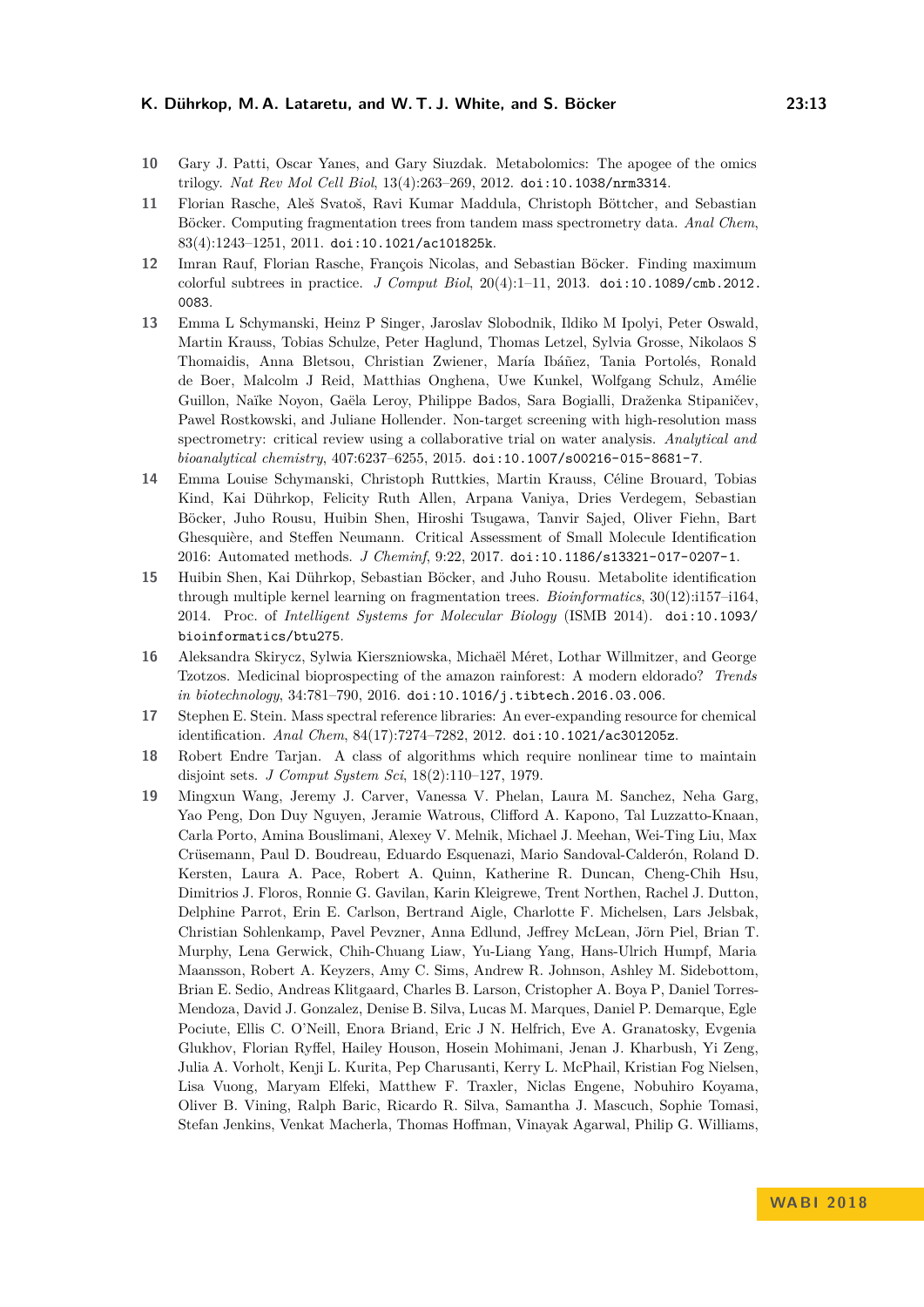### **K. Dührkop, M. A. Lataretu, and W. T. J. White, and S. Böcker 23:13**

- <span id="page-12-0"></span>**10** Gary J. Patti, Oscar Yanes, and Gary Siuzdak. Metabolomics: The apogee of the omics trilogy. *Nat Rev Mol Cell Biol*, 13(4):263–269, 2012. [doi:10.1038/nrm3314](http://dx.doi.org/10.1038/nrm3314).
- <span id="page-12-5"></span>**11** Florian Rasche, Aleš Svatoš, Ravi Kumar Maddula, Christoph Böttcher, and Sebastian Böcker. Computing fragmentation trees from tandem mass spectrometry data. *Anal Chem*, 83(4):1243–1251, 2011. [doi:10.1021/ac101825k](http://dx.doi.org/10.1021/ac101825k).
- <span id="page-12-8"></span>**12** Imran Rauf, Florian Rasche, François Nicolas, and Sebastian Böcker. Finding maximum colorful subtrees in practice. *J Comput Biol*, 20(4):1–11, 2013. [doi:10.1089/cmb.2012.](http://dx.doi.org/10.1089/cmb.2012.0083) [0083](http://dx.doi.org/10.1089/cmb.2012.0083).
- <span id="page-12-2"></span>**13** Emma L Schymanski, Heinz P Singer, Jaroslav Slobodnik, Ildiko M Ipolyi, Peter Oswald, Martin Krauss, Tobias Schulze, Peter Haglund, Thomas Letzel, Sylvia Grosse, Nikolaos S Thomaidis, Anna Bletsou, Christian Zwiener, María Ibáñez, Tania Portolés, Ronald de Boer, Malcolm J Reid, Matthias Onghena, Uwe Kunkel, Wolfgang Schulz, Amélie Guillon, Naïke Noyon, Gaëla Leroy, Philippe Bados, Sara Bogialli, Draženka Stipaničev, Pawel Rostkowski, and Juliane Hollender. Non-target screening with high-resolution mass spectrometry: critical review using a collaborative trial on water analysis. *Analytical and bioanalytical chemistry*, 407:6237–6255, 2015. [doi:10.1007/s00216-015-8681-7](http://dx.doi.org/10.1007/s00216-015-8681-7).
- <span id="page-12-7"></span>**14** Emma Louise Schymanski, Christoph Ruttkies, Martin Krauss, Céline Brouard, Tobias Kind, Kai Dührkop, Felicity Ruth Allen, Arpana Vaniya, Dries Verdegem, Sebastian Böcker, Juho Rousu, Huibin Shen, Hiroshi Tsugawa, Tanvir Sajed, Oliver Fiehn, Bart Ghesquière, and Steffen Neumann. Critical Assessment of Small Molecule Identification 2016: Automated methods. *J Cheminf*, 9:22, 2017. [doi:10.1186/s13321-017-0207-1](http://dx.doi.org/10.1186/s13321-017-0207-1).
- <span id="page-12-6"></span>**15** Huibin Shen, Kai Dührkop, Sebastian Böcker, and Juho Rousu. Metabolite identification through multiple kernel learning on fragmentation trees. *Bioinformatics*, 30(12):i157–i164, 2014. Proc. of *Intelligent Systems for Molecular Biology* (ISMB 2014). [doi:10.1093/](http://dx.doi.org/10.1093/bioinformatics/btu275) [bioinformatics/btu275](http://dx.doi.org/10.1093/bioinformatics/btu275).
- <span id="page-12-1"></span>**16** Aleksandra Skirycz, Sylwia Kierszniowska, Michaël Méret, Lothar Willmitzer, and George Tzotzos. Medicinal bioprospecting of the amazon rainforest: A modern eldorado? *Trends in biotechnology*, 34:781–790, 2016. [doi:10.1016/j.tibtech.2016.03.006](http://dx.doi.org/10.1016/j.tibtech.2016.03.006).
- <span id="page-12-4"></span>**17** Stephen E. Stein. Mass spectral reference libraries: An ever-expanding resource for chemical identification. *Anal Chem*, 84(17):7274–7282, 2012. [doi:10.1021/ac301205z](http://dx.doi.org/10.1021/ac301205z).
- <span id="page-12-9"></span>**18** Robert Endre Tarjan. A class of algorithms which require nonlinear time to maintain disjoint sets. *J Comput System Sci*, 18(2):110–127, 1979.
- <span id="page-12-3"></span>**19** Mingxun Wang, Jeremy J. Carver, Vanessa V. Phelan, Laura M. Sanchez, Neha Garg, Yao Peng, Don Duy Nguyen, Jeramie Watrous, Clifford A. Kapono, Tal Luzzatto-Knaan, Carla Porto, Amina Bouslimani, Alexey V. Melnik, Michael J. Meehan, Wei-Ting Liu, Max Crüsemann, Paul D. Boudreau, Eduardo Esquenazi, Mario Sandoval-Calderón, Roland D. Kersten, Laura A. Pace, Robert A. Quinn, Katherine R. Duncan, Cheng-Chih Hsu, Dimitrios J. Floros, Ronnie G. Gavilan, Karin Kleigrewe, Trent Northen, Rachel J. Dutton, Delphine Parrot, Erin E. Carlson, Bertrand Aigle, Charlotte F. Michelsen, Lars Jelsbak, Christian Sohlenkamp, Pavel Pevzner, Anna Edlund, Jeffrey McLean, Jörn Piel, Brian T. Murphy, Lena Gerwick, Chih-Chuang Liaw, Yu-Liang Yang, Hans-Ulrich Humpf, Maria Maansson, Robert A. Keyzers, Amy C. Sims, Andrew R. Johnson, Ashley M. Sidebottom, Brian E. Sedio, Andreas Klitgaard, Charles B. Larson, Cristopher A. Boya P, Daniel Torres-Mendoza, David J. Gonzalez, Denise B. Silva, Lucas M. Marques, Daniel P. Demarque, Egle Pociute, Ellis C. O'Neill, Enora Briand, Eric J N. Helfrich, Eve A. Granatosky, Evgenia Glukhov, Florian Ryffel, Hailey Houson, Hosein Mohimani, Jenan J. Kharbush, Yi Zeng, Julia A. Vorholt, Kenji L. Kurita, Pep Charusanti, Kerry L. McPhail, Kristian Fog Nielsen, Lisa Vuong, Maryam Elfeki, Matthew F. Traxler, Niclas Engene, Nobuhiro Koyama, Oliver B. Vining, Ralph Baric, Ricardo R. Silva, Samantha J. Mascuch, Sophie Tomasi, Stefan Jenkins, Venkat Macherla, Thomas Hoffman, Vinayak Agarwal, Philip G. Williams,